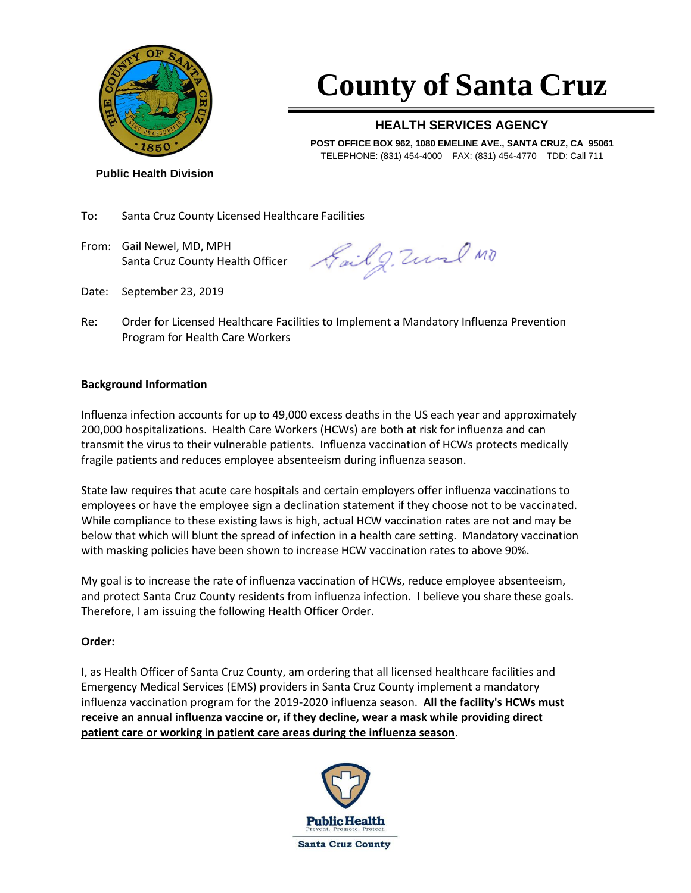

## **County of Santa Cruz**

### **HEALTH SERVICES AGENCY**

**POST OFFICE BOX 962, 1080 EMELINE AVE., SANTA CRUZ, CA 95061** TELEPHONE: (831) 454-4000 FAX: (831) 454-4770 TDD: Call 711

**Public Health Division**

To: Santa Cruz County Licensed Healthcare Facilities

From: Gail Newel, MD, MPH Santa Cruz County Health Officer

Sail g. Zund MD

- Date: September 23, 2019
- Re: Order for Licensed Healthcare Facilities to Implement a Mandatory Influenza Prevention Program for Health Care Workers

### **Background Information**

Influenza infection accounts for up to 49,000 excess deaths in the US each year and approximately 200,000 hospitalizations. Health Care Workers (HCWs) are both at risk for influenza and can transmit the virus to their vulnerable patients. Influenza vaccination of HCWs protects medically fragile patients and reduces employee absenteeism during influenza season.

State law requires that acute care hospitals and certain employers offer influenza vaccinations to employees or have the employee sign a declination statement if they choose not to be vaccinated. While compliance to these existing laws is high, actual HCW vaccination rates are not and may be below that which will blunt the spread of infection in a health care setting. Mandatory vaccination with masking policies have been shown to increase HCW vaccination rates to above 90%.

My goal is to increase the rate of influenza vaccination of HCWs, reduce employee absenteeism, and protect Santa Cruz County residents from influenza infection. I believe you share these goals. Therefore, I am issuing the following Health Officer Order.

### **Order:**

I, as Health Officer of Santa Cruz County, am ordering that all licensed healthcare facilities and Emergency Medical Services (EMS) providers in Santa Cruz County implement a mandatory influenza vaccination program for the 2019-2020 influenza season. **All the facility's HCWs must receive an annual influenza vaccine or, if they decline, wear a mask while providing direct patient care or working in patient care areas during the influenza season**.